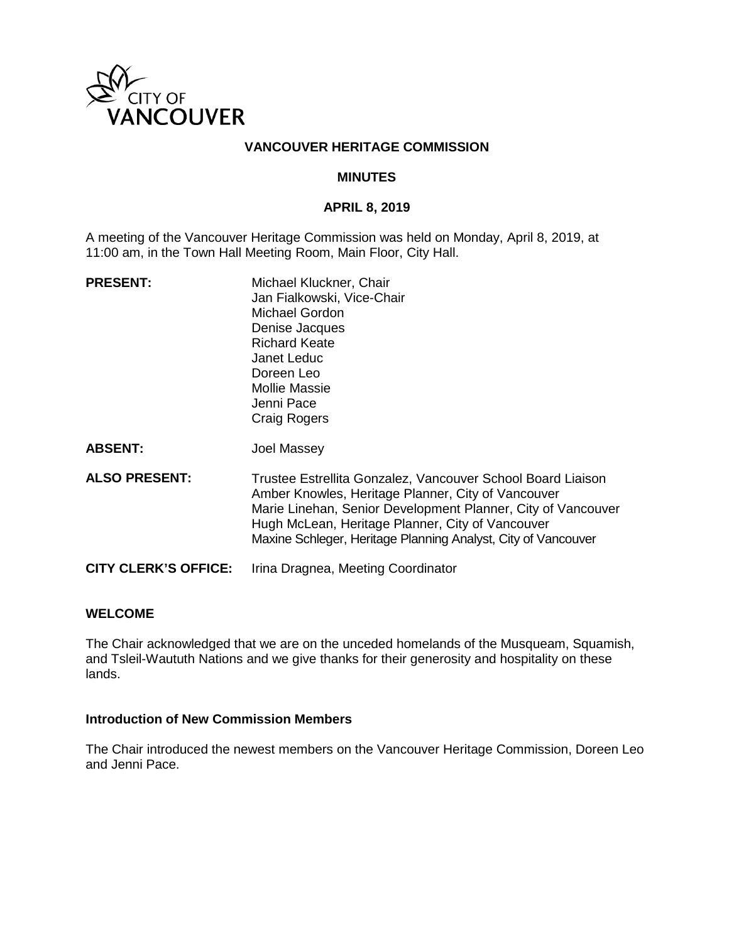

# **VANCOUVER HERITAGE COMMISSION**

### **MINUTES**

#### **APRIL 8, 2019**

A meeting of the Vancouver Heritage Commission was held on Monday, April 8, 2019, at 11:00 am, in the Town Hall Meeting Room, Main Floor, City Hall.

| <b>PRESENT:</b>             | Michael Kluckner, Chair<br>Jan Fialkowski, Vice-Chair<br>Michael Gordon<br>Denise Jacques<br><b>Richard Keate</b><br>Janet Leduc<br>Doreen Leo<br>Mollie Massie<br>Jenni Pace<br><b>Craig Rogers</b>                                                                                                   |
|-----------------------------|--------------------------------------------------------------------------------------------------------------------------------------------------------------------------------------------------------------------------------------------------------------------------------------------------------|
| <b>ABSENT:</b>              | Joel Massey                                                                                                                                                                                                                                                                                            |
| <b>ALSO PRESENT:</b>        | Trustee Estrellita Gonzalez, Vancouver School Board Liaison<br>Amber Knowles, Heritage Planner, City of Vancouver<br>Marie Linehan, Senior Development Planner, City of Vancouver<br>Hugh McLean, Heritage Planner, City of Vancouver<br>Maxine Schleger, Heritage Planning Analyst, City of Vancouver |
| <b>CITY CLERK'S OFFICE:</b> | Irina Dragnea, Meeting Coordinator                                                                                                                                                                                                                                                                     |

### **WELCOME**

The Chair acknowledged that we are on the unceded homelands of the Musqueam, Squamish, and Tsleil-Waututh Nations and we give thanks for their generosity and hospitality on these lands.

### **Introduction of New Commission Members**

The Chair introduced the newest members on the Vancouver Heritage Commission, Doreen Leo and Jenni Pace.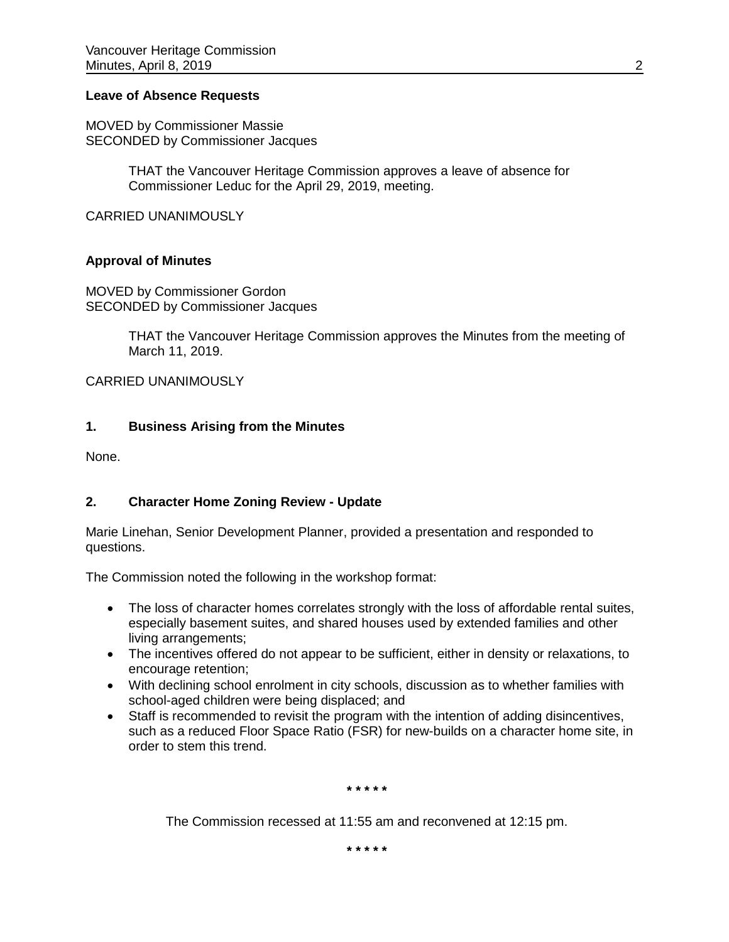### **Leave of Absence Requests**

MOVED by Commissioner Massie SECONDED by Commissioner Jacques

> THAT the Vancouver Heritage Commission approves a leave of absence for Commissioner Leduc for the April 29, 2019, meeting.

CARRIED UNANIMOUSLY

### **Approval of Minutes**

MOVED by Commissioner Gordon SECONDED by Commissioner Jacques

> THAT the Vancouver Heritage Commission approves the Minutes from the meeting of March 11, 2019.

### CARRIED UNANIMOUSLY

### **1. Business Arising from the Minutes**

None.

### **2. Character Home Zoning Review - Update**

Marie Linehan, Senior Development Planner, provided a presentation and responded to questions.

The Commission noted the following in the workshop format:

- The loss of character homes correlates strongly with the loss of affordable rental suites, especially basement suites, and shared houses used by extended families and other living arrangements;
- The incentives offered do not appear to be sufficient, either in density or relaxations, to encourage retention;
- With declining school enrolment in city schools, discussion as to whether families with school-aged children were being displaced; and
- Staff is recommended to revisit the program with the intention of adding disincentives, such as a reduced Floor Space Ratio (FSR) for new-builds on a character home site, in order to stem this trend.

**\* \* \* \* \***

The Commission recessed at 11:55 am and reconvened at 12:15 pm.

**\* \* \* \* \***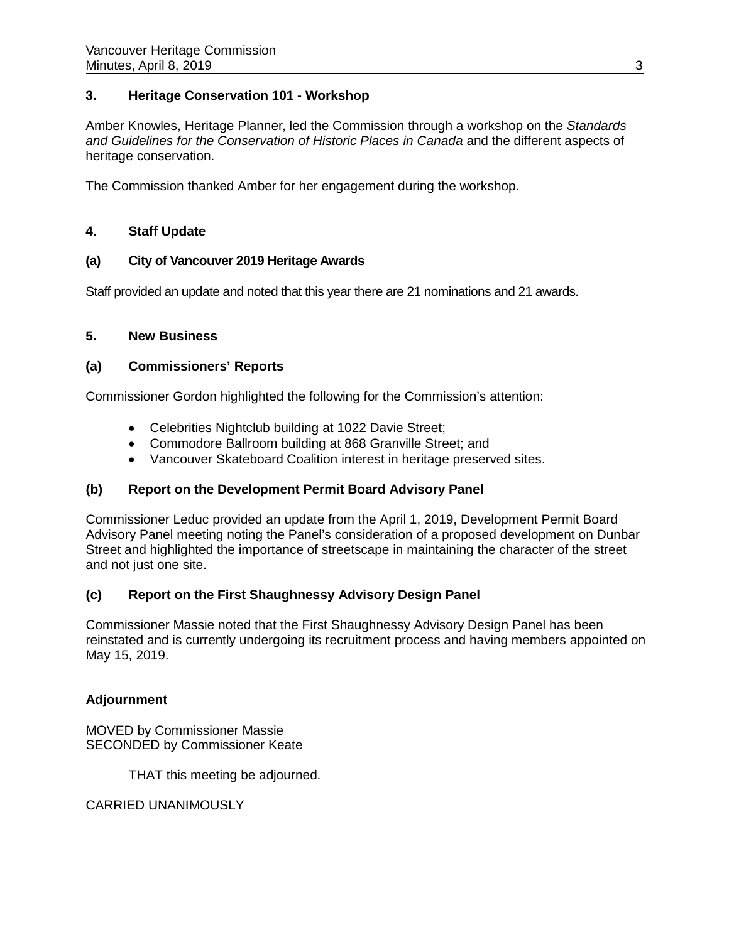# **3. Heritage Conservation 101 - Workshop**

Amber Knowles, Heritage Planner, led the Commission through a workshop on the *Standards and Guidelines for the Conservation of Historic Places in Canada* and the different aspects of heritage conservation.

The Commission thanked Amber for her engagement during the workshop.

### **4. Staff Update**

### **(a) City of Vancouver 2019 Heritage Awards**

Staff provided an update and noted that this year there are 21 nominations and 21 awards.

### **5. New Business**

### **(a) Commissioners' Reports**

Commissioner Gordon highlighted the following for the Commission's attention:

- Celebrities Nightclub building at 1022 Davie Street;
- Commodore Ballroom building at 868 Granville Street; and
- Vancouver Skateboard Coalition interest in heritage preserved sites.

# **(b) Report on the Development Permit Board Advisory Panel**

Commissioner Leduc provided an update from the April 1, 2019, Development Permit Board Advisory Panel meeting noting the Panel's consideration of a proposed development on Dunbar Street and highlighted the importance of streetscape in maintaining the character of the street and not just one site.

# **(c) Report on the First Shaughnessy Advisory Design Panel**

Commissioner Massie noted that the First Shaughnessy Advisory Design Panel has been reinstated and is currently undergoing its recruitment process and having members appointed on May 15, 2019.

### **Adjournment**

MOVED by Commissioner Massie SECONDED by Commissioner Keate

THAT this meeting be adjourned.

CARRIED UNANIMOUSLY